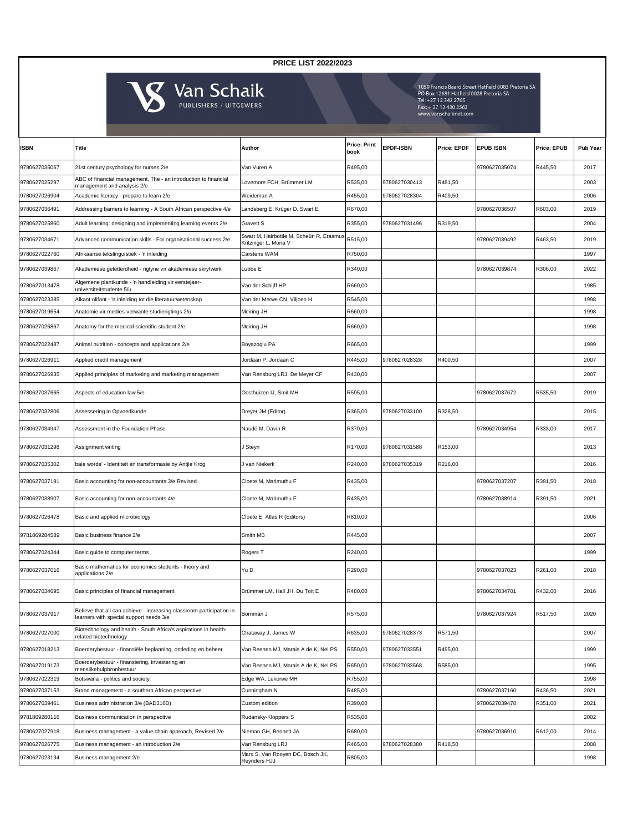| <b>ISBN</b>   | Title                                                                                                           | Author                                                            | <b>Price: Print</b><br>book | <b>EPDF-ISBN</b> | <b>Price: EPDF</b> | <b>EPUB ISBN</b> | <b>Price: EPUB</b> | <b>Pub Year</b> |
|---------------|-----------------------------------------------------------------------------------------------------------------|-------------------------------------------------------------------|-----------------------------|------------------|--------------------|------------------|--------------------|-----------------|
| 9780627035067 | 21st century psychology for nurses 2/e                                                                          | Van Vuren A                                                       | R495,00                     |                  |                    | 9780627035074    | R445,50            | 2017            |
| 9780627025297 | ABC of financial management, The - an introduction to financial<br>management and analysis 2/e                  | Lovemore FCH, Brümmer LM                                          | R535,00                     | 9780627030413    | R481,50            |                  |                    | 2003            |
| 9780627026904 | Academic literacy - prepare to learn 2/e                                                                        | Weideman A                                                        | R455,00                     | 9780627028304    | R409,50            |                  |                    | 2006            |
| 9780627036491 | Addressing barriers to learning - A South African perspective 4/e                                               | Landsberg E, Krüger D, Swart E                                    | R670,00                     |                  |                    | 9780627036507    | R603,00            | 2019            |
| 9780627025860 | Adult learning: designing and implementing learning events 2/e                                                  | Gravett S                                                         | R355,00                     | 9780627031496    | R319,50            |                  |                    | 2004            |
| 9780627034671 | Advanced communication skills - For organisational success 2/e                                                  | Swart M, Hairbottle M, Scheün R, Erasmus-<br>Kritzinger L, Mona V | R515,00                     |                  |                    | 9780627039492    | R463,50            | 2019            |
| 9780627022760 | Afrikaanse tekslinguistiek - 'n inleiding                                                                       | Carstens WAM                                                      | R750,00                     |                  |                    |                  |                    | 1997            |
| 9780627039867 | Akademiese geletterdheid - riglyne vir akademiese skryfwerk                                                     | Lubbe E                                                           | R340,00                     |                  |                    | 9780627039874    | R306,00            | 2022            |
| 9780627013478 | Algemene plantkunde - 'n handleiding vir eerstejaar-<br>universiteitstudente 5/u                                | Van der Schijff HP                                                | R660,00                     |                  |                    |                  |                    | 1985            |
| 9780627023385 | Alkant olifant - 'n inleiding tot die literatuurwetenskap                                                       | Van der Merwe CN, Viljoen H                                       | R545,00                     |                  |                    |                  |                    | 1998            |
| 9780627019654 | Anatomie vir medies-verwante studierigtings 2/u                                                                 | Meiring JH                                                        | R660,00                     |                  |                    |                  |                    | 1998            |
| 9780627026867 | Anatomy for the medical scientific student 2/e                                                                  | Meiring JH                                                        | R660,00                     |                  |                    |                  |                    | 1998            |
| 9780627022487 | Animal nutrition - concepts and applications 2/e                                                                | Boyazoglu PA                                                      | R665,00                     |                  |                    |                  |                    | 1999            |
| 9780627026911 | Applied credit management                                                                                       | Jordaan P, Jordaan C                                              | R445,00                     | 9780627028328    | R400,50            |                  |                    | 2007            |
| 9780627026935 | Applied principles of marketing and marketing management                                                        | Van Rensburg LRJ, De Meyer CF                                     | R430,00                     |                  |                    |                  |                    | 2007            |
| 9780627037665 | Aspects of education law 5/e                                                                                    | Oosthuizen IJ, Smit MH                                            | R595,00                     |                  |                    | 9780627037672    | R535,50            | 2019            |
| 9780627032806 | Assessering in Opvoedkunde                                                                                      | Dreyer JM (Editor)                                                | R365,00                     | 9780627033100    | R328,50            |                  |                    | 2015            |
| 9780627034947 | Assessment in the Foundation Phase                                                                              | Naudé M. Davin R                                                  | R370,00                     |                  |                    | 9780627034954    | R333,00            | 2017            |
| 9780627031298 | Assignment writing                                                                                              | J Steyn                                                           | R170,00                     | 9780627031588    | R153,00            |                  |                    | 2013            |
| 9780627035302 | baie worde' - Identiteit en transformasie by Antije Krog                                                        | J van Niekerk                                                     | R240,00                     | 9780627035319    | R216,00            |                  |                    | 2016            |
| 9780627037191 | Basic accounting for non-accountants 3/e Revised                                                                | Cloete M, Marimuthu F                                             | R435,00                     |                  |                    | 9780627037207    | R391,50            | 2018            |
| 9780627038907 | Basic accounting for non-accountants 4/e                                                                        | Cloete M, Marimuthu F                                             | R435,00                     |                  |                    | 9780627038914    | R391,50            | 2021            |
| 9780627026478 | Basic and applied microbiology                                                                                  | Cloete E, Atlas R (Editors)                                       | R810,00                     |                  |                    |                  |                    | 2006            |
| 9781869284589 | Basic business finance 2/e                                                                                      | Smith MB                                                          | R445,00                     |                  |                    |                  |                    | 2007            |
| 9780627024344 | Basic guide to computer terms                                                                                   | Rogers T                                                          | R240,00                     |                  |                    |                  |                    | 1999            |
| 9780627037016 | Basic mathematics for economics students - theory and<br>applications 2/e                                       | Yu D                                                              | R290,00                     |                  |                    | 9780627037023    | R261,00            | 2018            |
| 9780627034695 | Basic principles of financial management                                                                        | Brümmer LM, Hall JH, Du Toit E                                    | R480,00                     |                  |                    | 9780627034701    | R432,00            | 2016            |
| 9780627037917 | Believe that all can achieve - increasing classroom participation in<br>learners with special support needs 3/e | Bornman J                                                         | R575,00                     |                  |                    | 9780627037924    | R517,50            | 2020            |
| 9780627027000 | Biotechnology and health - South Africa's aspirations in health-<br>related biotechnology                       | Chataway J, James W                                               | R635,00                     | 9780627028373    | R571,50            |                  |                    | 2007            |
| 9780627018213 | Boerderybestuur - finansiële beplanning, ontleding en beheer                                                    | Van Reenen MJ, Marais A de K, Nel PS                              | R550,00                     | 9780627033551    | R495,00            |                  |                    | 1999            |
| 9780627019173 | Boerderybestuur - finansiering, investering en<br>menslikehulpbronbestuur                                       | Van Reenen MJ, Marais A de K, Nel PS                              | R650,00                     | 9780627033568    | R585,00            |                  |                    | 1995            |
| 9780627022319 | Botswana - politics and society                                                                                 | Edge WA, Lekorwe MH                                               | R755,00                     |                  |                    |                  |                    | 1998            |
| 9780627037153 | Brand management - a southern African perspective                                                               | Cunningham N                                                      | R485,00                     |                  |                    | 9780627037160    | R436,50            | 2021            |
| 9780627039461 | Business administration 3/e (BAD316D)                                                                           | Custom edition                                                    | R390,00                     |                  |                    | 9780627039478    | R351,00            | 2021            |
| 9781869280116 | Business communication in perspective                                                                           | Rudansky-Kloppers S                                               | R535,00                     |                  |                    |                  |                    | 2002            |
| 9780627027918 | Business management - a value chain approach, Revised 2/e                                                       | Nieman GH, Bennett JA                                             | R680,00                     |                  |                    | 9780627036910    | R612,00            | 2014            |
| 9780627026775 | Business management - an introduction 2/e                                                                       | Van Rensburg LRJ                                                  | R465,00                     | 9780627028380    | R418,50            |                  |                    | 2008            |
| 9780627023194 | Business management 2/e                                                                                         | Marx S, Van Rooyen DC, Bosch JK,<br>Reynders HJJ                  | R805,00                     |                  |                    |                  |                    | 1998            |

## **PRICE LIST 2022/2023**



1059 Francis Baard Street Hatfield 0083 Pretoria SA<br>PO Box 12681 Hatfield 0028 Pretoria SA<br>Tel: +27 12 342 2765 Fax: + 27 12 430 3563<br>www.vanschaiknet.com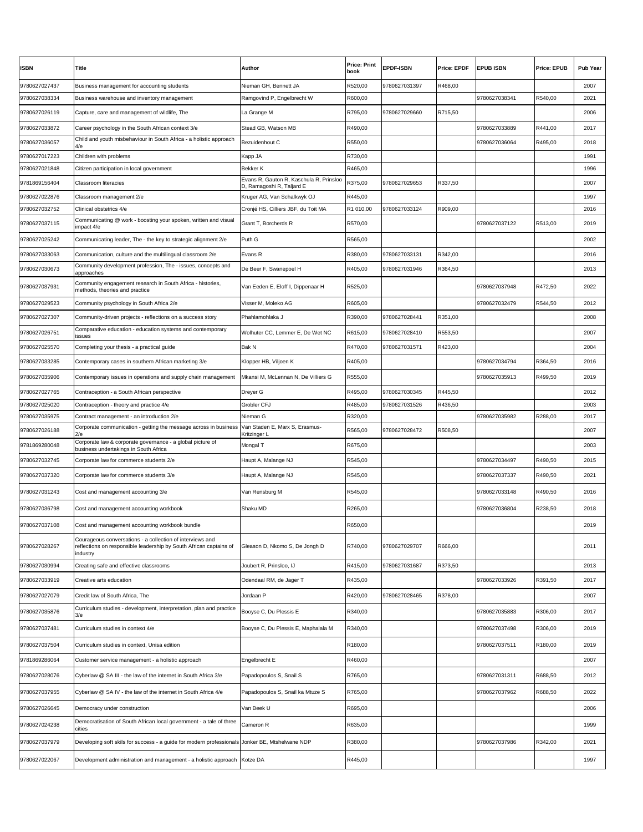| <b>ISBN</b>   | Title                                                                                                                                      | <b>Author</b>                                                        | <b>Price: Print</b><br>book | <b>EPDF-ISBN</b> | <b>Price: EPDF</b> | <b>EPUB ISBN</b> | Price: EPUB | <b>Pub Year</b> |
|---------------|--------------------------------------------------------------------------------------------------------------------------------------------|----------------------------------------------------------------------|-----------------------------|------------------|--------------------|------------------|-------------|-----------------|
| 9780627027437 | Business management for accounting students                                                                                                | Nieman GH, Bennett JA                                                | R520,00                     | 9780627031397    | R468,00            |                  |             | 2007            |
| 9780627038334 | Business warehouse and inventory management                                                                                                | Ramgovind P, Engelbrecht W                                           | R600,00                     |                  |                    | 9780627038341    | R540,00     | 2021            |
| 9780627026119 | Capture, care and management of wildlife, The                                                                                              | La Grange M                                                          | R795,00                     | 9780627029660    | R715,50            |                  |             | 2006            |
| 9780627033872 | Career psychology in the South African context 3/e                                                                                         | Stead GB, Watson MB                                                  | R490,00                     |                  |                    | 9780627033889    | R441,00     | 2017            |
| 9780627036057 | Child and youth misbehaviour in South Africa - a holistic approach<br>4/e                                                                  | Bezuidenhout C                                                       | R550,00                     |                  |                    | 9780627036064    | R495,00     | 2018            |
| 9780627017223 | Children with problems                                                                                                                     | Kapp JA                                                              | R730,00                     |                  |                    |                  |             | 1991            |
| 9780627021848 | Citizen participation in local government                                                                                                  | <b>Bekker K</b>                                                      | R465,00                     |                  |                    |                  |             | 1996            |
| 9781869156404 | <b>Classroom literacies</b>                                                                                                                | Evans R, Gauton R, Kaschula R, Prinsloo<br>D, Ramagoshi R, Taljard E | R375,00                     | 9780627029653    | R337,50            |                  |             | 2007            |
| 9780627022876 | Classroom management 2/e                                                                                                                   | Kruger AG, Van Schalkwyk OJ                                          | R445,00                     |                  |                    |                  |             | 1997            |
| 9780627032752 | Clinical obstetrics 4/e                                                                                                                    | Cronjé HS, Cilliers JBF, du Toit MA                                  | R1 010,00                   | 9780627033124    | R909,00            |                  |             | 2016            |
| 9780627037115 | Communicating @ work - boosting your spoken, written and visual<br>impact 4/e                                                              | Grant T, Borcherds R                                                 | R570,00                     |                  |                    | 9780627037122    | R513,00     | 2019            |
| 9780627025242 | Communicating leader, The - the key to strategic alignment 2/e                                                                             | Puth G                                                               | R565,00                     |                  |                    |                  |             | 2002            |
| 9780627033063 | Communication, culture and the multilingual classroom 2/e                                                                                  | Evans R                                                              | R380,00                     | 9780627033131    | R342,00            |                  |             | 2016            |
| 9780627030673 | Community development profession, The - issues, concepts and<br>approaches                                                                 | De Beer F, Swanepoel H                                               | R405,00                     | 9780627031946    | R364,50            |                  |             | 2013            |
| 9780627037931 | Community engagement research in South Africa - histories,<br>methods, theories and practice                                               | Van Eeden E, Eloff I, Dippenaar H                                    | R525,00                     |                  |                    | 9780627037948    | R472,50     | 2022            |
| 9780627029523 | Community psychology in South Africa 2/e                                                                                                   | Visser M, Moleko AG                                                  | R605,00                     |                  |                    | 9780627032479    | R544,50     | 2012            |
| 9780627027307 | Community-driven projects - reflections on a success story                                                                                 | Phahlamohlaka J                                                      | R390,00                     | 9780627028441    | R351,00            |                  |             | 2008            |
| 9780627026751 | Comparative education - education systems and contemporary<br>issues                                                                       | Wolhuter CC, Lemmer E, De Wet NC                                     | R615,00                     | 9780627028410    | R553,50            |                  |             | 2007            |
| 9780627025570 | Completing your thesis - a practical guide                                                                                                 | <b>Bak N</b>                                                         | R470,00                     | 9780627031571    | R423,00            |                  |             | 2004            |
| 9780627033285 | Contemporary cases in southern African marketing 3/e                                                                                       | Klopper HB, Viljoen K                                                | R405,00                     |                  |                    | 9780627034794    | R364,50     | 2016            |
| 9780627035906 | Contemporary issues in operations and supply chain management                                                                              | Mkansi M. McLennan N. De Villiers G                                  | R555,00                     |                  |                    | 9780627035913    | R499,50     | 2019            |
| 9780627027765 | Contraception - a South African perspective                                                                                                | Dreyer G                                                             | R495,00                     | 9780627030345    | R445,50            |                  |             | 2012            |
| 9780627025020 | Contraception - theory and practice 4/e                                                                                                    | Grobler CFJ                                                          | R485,00                     | 9780627031526    | R436,50            |                  |             | 2003            |
| 9780627035975 | Contract management - an introduction 2/e                                                                                                  | Nieman G                                                             | R320,00                     |                  |                    | 9780627035982    | R288,00     | 2017            |
| 9780627026188 | Corporate communication - getting the message across in business<br>2/e                                                                    | Van Staden E, Marx S, Erasmus-<br>Kritzinger L                       | R565,00                     | 9780627028472    | R508,50            |                  |             | 2007            |
| 9781869280048 | Corporate law & corporate governance - a global picture of<br>business undertakings in South Africa                                        | Mongal T                                                             | R675,00                     |                  |                    |                  |             | 2003            |
| 9780627032745 | Corporate law for commerce students 2/e                                                                                                    | Haupt A, Malange NJ                                                  | R545,00                     |                  |                    | 9780627034497    | R490,50     | 2015            |
| 9780627037320 | Corporate law for commerce students 3/e                                                                                                    | Haupt A, Malange NJ                                                  | R545,00                     |                  |                    | 9780627037337    | R490,50     | 2021            |
| 9780627031243 | Cost and management accounting 3/e                                                                                                         | Van Rensburg M                                                       | R545,00                     |                  |                    | 9780627033148    | R490,50     | 2016            |
| 9780627036798 | Cost and management accounting workbook                                                                                                    | Shaku MD                                                             | R265,00                     |                  |                    | 9780627036804    | R238,50     | 2018            |
| 9780627037108 | Cost and management accounting workbook bundle                                                                                             |                                                                      | R650,00                     |                  |                    |                  |             | 2019            |
| 9780627028267 | Courageous conversations - a collection of interviews and<br>reflections on responsible leadership by South African captains of<br>ndustry | Gleason D, Nkomo S, De Jongh D                                       | R740,00                     | 9780627029707    | R666,00            |                  |             | 2011            |
| 9780627030994 | Creating safe and effective classrooms                                                                                                     | Joubert R, Prinsloo, IJ                                              | R415,00                     | 9780627031687    | R373,50            |                  |             | 2013            |
| 9780627033919 | Creative arts education                                                                                                                    | Odendaal RM, de Jager T                                              | R435,00                     |                  |                    | 9780627033926    | R391,50     | 2017            |
| 9780627027079 | Credit law of South Africa, The                                                                                                            | Jordaan P                                                            | R420,00                     | 9780627028465    | R378,00            |                  |             | 2007            |
| 9780627035876 | Curriculum studies - development, interpretation, plan and practice<br>3/e                                                                 | Booyse C, Du Plessis E                                               | R340,00                     |                  |                    | 9780627035883    | R306,00     | 2017            |
| 9780627037481 | Curriculum studies in context 4/e                                                                                                          | Booyse C, Du Plessis E, Maphalala M                                  | R340,00                     |                  |                    | 9780627037498    | R306,00     | 2019            |
| 9780627037504 | Curriculum studies in context, Unisa edition                                                                                               |                                                                      | R180,00                     |                  |                    | 9780627037511    | R180,00     | 2019            |
| 9781869286064 | Customer service management - a holistic approach                                                                                          | Engelbrecht E                                                        | R460,00                     |                  |                    |                  |             | 2007            |
| 9780627028076 | Cyberlaw @ SA III - the law of the internet in South Africa 3/e                                                                            | Papadopoulos S, Snail S                                              | R765,00                     |                  |                    | 9780627031311    | R688,50     | 2012            |
| 9780627037955 | Cyberlaw @ SA IV - the law of the internet in South Africa 4/e                                                                             | Papadopoulos S, Snail ka Mtuze S                                     | R765,00                     |                  |                    | 9780627037962    | R688,50     | 2022            |
| 9780627026645 | Democracy under construction                                                                                                               | Van Beek U                                                           | R695,00                     |                  |                    |                  |             | 2006            |
| 9780627024238 | Democratisation of South African local government - a tale of three<br>cities                                                              | Cameron R                                                            | R635,00                     |                  |                    |                  |             | 1999            |
| 9780627037979 | Developing soft skils for success - a guide for modern professionals Jonker BE, Mtshelwane NDP                                             |                                                                      | R380,00                     |                  |                    | 9780627037986    | R342,00     | 2021            |
|               |                                                                                                                                            |                                                                      |                             |                  |                    |                  |             |                 |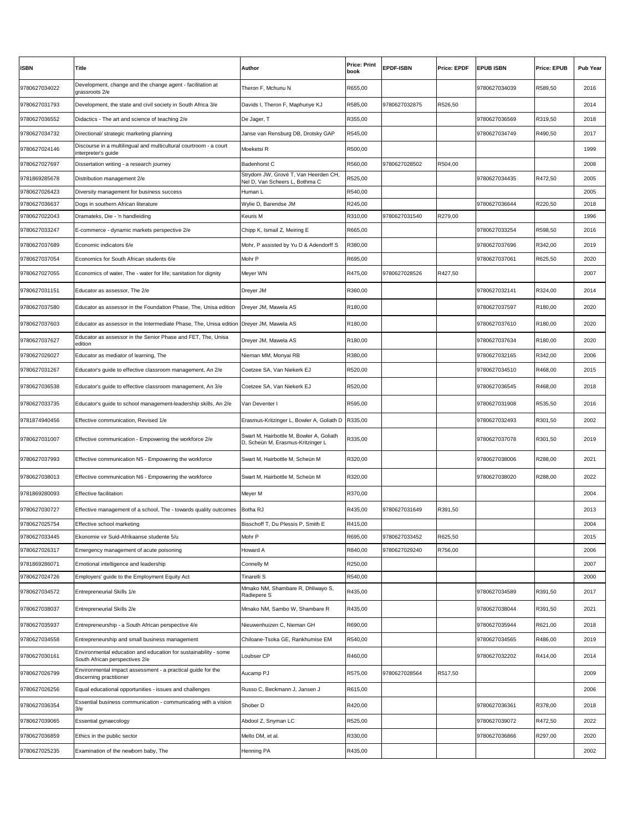| <b>ISBN</b>                    | <b>Title</b>                                                                                      | <b>Author</b>                                                                 | <b>Price: Print</b><br>book | <b>EPDF-ISBN</b> | <b>Price: EPDF</b> | <b>EPUB ISBN</b> | <b>Price: EPUB</b>  | <b>Pub Year</b> |
|--------------------------------|---------------------------------------------------------------------------------------------------|-------------------------------------------------------------------------------|-----------------------------|------------------|--------------------|------------------|---------------------|-----------------|
| 9780627034022                  | Development, change and the change agent - facilitation at<br>arassroots 2/e                      | Theron F. Mchunu N                                                            | R655,00                     |                  |                    | 9780627034039    | R589,50             | 2016            |
| 9780627031793                  | Development, the state and civil society in South Africa 3/e                                      | Davids I, Theron F, Maphunye KJ                                               | R585,00                     | 9780627032875    | R526,50            |                  |                     | 2014            |
| 9780627036552                  | Didactics - The art and science of teaching 2/e                                                   | De Jager, T                                                                   | R355,00                     |                  |                    | 9780627036569    | R319,50             | 2018            |
| 9780627034732                  | Directional/ strategic marketing planning                                                         | Janse van Rensburg DB, Drotsky GAP                                            | R545,00                     |                  |                    | 9780627034749    | R490,50             | 2017            |
| 9780627024146                  | Discourse in a multilingual and multicultural courtroom - a court<br>interpreter's quide          | Moeketsi R                                                                    | R500,00                     |                  |                    |                  |                     | 1999            |
| 9780627027697                  | Dissertation writing - a research journey                                                         | Badenhorst C                                                                  | R560,00                     | 9780627028502    | R504,00            |                  |                     | 2008            |
| 9781869285678                  | Distribution management 2/e                                                                       | Strydom JW, Grové T, Van Heerden CH,<br>Nel D, Van Scheers L, Bothma C        | R525,00                     |                  |                    | 9780627034435    | R472,50             | 2005            |
| 9780627026423                  | Diversity management for business success                                                         | Human L                                                                       | R540,00                     |                  |                    |                  |                     | 2005            |
| 9780627036637                  | Dogs in southern African literature                                                               | Wylie D, Barendse JM                                                          | R245,00                     |                  |                    | 9780627036644    | R220,50             | 2018            |
| 9780627022043                  | Dramateks, Die - 'n handleiding                                                                   | Keuris M                                                                      | R310,00                     | 9780627031540    | R279,00            |                  |                     | 1996            |
| 9780627033247                  | E-commerce - dynamic markets perspective 2/e                                                      | Chipp K, Ismail Z, Meiring E                                                  | R665,00                     |                  |                    | 9780627033254    | R598,50             | 2016            |
| 9780627037689                  | Economic indicators 6/e                                                                           | Mohr, P assisted by Yu D & Adendorff S                                        | R380,00                     |                  |                    | 9780627037696    | R342,00             | 2019            |
| 9780627037054                  | Economics for South African students 6/e                                                          | Mohr P                                                                        | R695,00                     |                  |                    | 9780627037061    | R625,50             | 2020            |
| 9780627027055                  | Economics of water, The - water for life; sanitation for dignity                                  | Meyer WN                                                                      | R475,00                     | 9780627028526    | R427,50            |                  |                     | 2007            |
| 9780627031151                  | Educator as assessor, The 2/e                                                                     | Dreyer JM                                                                     | R360,00                     |                  |                    | 9780627032141    | R324,00             | 2014            |
| 9780627037580                  | Educator as assessor in the Foundation Phase, The, Unisa edition                                  | Dreyer JM, Mawela AS                                                          | R <sub>180,00</sub>         |                  |                    | 9780627037597    | R <sub>180,00</sub> | 2020            |
| 9780627037603                  | Educator as assessor in the Intermediate Phase, The, Unisa edition                                | Dreyer JM, Mawela AS                                                          | R180,00                     |                  |                    | 9780627037610    | R <sub>180,00</sub> | 2020            |
| 9780627037627                  | Educator as assessor in the Senior Phase and FET, The, Unisa<br>edition                           | Dreyer JM, Mawela AS                                                          | R180,00                     |                  |                    | 9780627037634    | R <sub>180,00</sub> | 2020            |
| 9780627026027                  | Educator as mediator of learning, The                                                             | Nieman MM, Monyai RB                                                          | R380,00                     |                  |                    | 9780627032165    | R342,00             | 2006            |
| 9780627031267                  | Educator's guide to effective classroom management, An 2/e                                        | Coetzee SA, Van Niekerk EJ                                                    | R520,00                     |                  |                    | 9780627034510    | R468,00             | 2015            |
| 9780627036538                  | Educator's guide to effective classroom management, An 3/e                                        | Coetzee SA, Van Niekerk EJ                                                    | R520,00                     |                  |                    | 9780627036545    | R468,00             | 2018            |
| 9780627033735                  | Educator's guide to school management-leadership skills, An 2/e                                   | Van Deventer I                                                                | R595,00                     |                  |                    | 9780627031908    | R535,50             | 2016            |
| 9781874940456                  | Effective communication, Revised 1/e                                                              | Erasmus-Kritzinger L, Bowler A, Goliath D                                     | R335,00                     |                  |                    | 9780627032493    | R301,50             | 2002            |
| 9780627031007                  | Effective communication - Empowering the workforce 2/e                                            | Swart M, Hairbottle M, Bowler A, Goliath<br>D, Scheün M, Erasmus-Kritzinger L | R335,00                     |                  |                    | 9780627037078    | R301,50             | 2019            |
| 9780627037993                  | Effective communication N5 - Empowering the workforce                                             | Swart M, Hairbottle M, Scheün M                                               | R320,00                     |                  |                    | 9780627038006    | R288,00             | 2021            |
| 9780627038013                  | Effective communication N6 - Empowering the workforce                                             | Swart M, Hairbottle M, Scheün M                                               | R320,00                     |                  |                    | 9780627038020    | R288,00             | 2022            |
| 9781869280093                  | Effective facilitation                                                                            | Meyer M                                                                       | R370,00                     |                  |                    |                  |                     | 2004            |
| 9780627030727                  | Effective management of a school, The - towards quality outcomes                                  | Botha RJ                                                                      | R435,00                     | 9780627031649    | R391,50            |                  |                     | 2013            |
|                                |                                                                                                   | Bisschoff T, Du Plessis P, Smith E                                            |                             |                  |                    |                  |                     |                 |
| 9780627025754<br>9780627033445 | Effective school marketing<br>Ekonomie vir Suid-Afrikaanse studente 5/u                           | Mohr P                                                                        | R415,00<br>R695,00          | 9780627033452    | R625.50            |                  |                     | 2004<br>2015    |
| 9780627026317                  | Emergency management of acute poisoning                                                           | Howard A                                                                      | R840,00                     | 9780627029240    | R756,00            |                  |                     | 2006            |
| 9781869286071                  | Emotional intelligence and leadership                                                             | Connelly M                                                                    | R250,00                     |                  |                    |                  |                     | 2007            |
| 9780627024726                  | Employers' guide to the Employment Equity Act                                                     | Tinarelli S                                                                   | R540,00                     |                  |                    |                  |                     | 2000            |
| 9780627034572                  | Entrepreneurial Skills 1/e                                                                        | Mmako NM, Shambare R, Dhliwayo S,<br>Radiepere S                              | R435,00                     |                  |                    | 9780627034589    | R391,50             | 2017            |
| 9780627038037                  | Entrepreneurial Skills 2/e                                                                        | Mmako NM, Sambo W, Shambare R                                                 | R435,00                     |                  |                    | 9780627038044    | R391,50             | 2021            |
| 9780627035937                  | Entrepreneurship - a South African perspective 4/e                                                | Nieuwenhuizen C, Nieman GH                                                    | R690,00                     |                  |                    | 9780627035944    | R621,00             | 2018            |
| 9780627034558                  | Entrepreneurship and small business management                                                    | Chiloane-Tsoka GE, Rankhumise EM                                              | R540,00                     |                  |                    | 9780627034565    | R486,00             | 2019            |
| 9780627030161                  | Environmental education and education for sustainability - some<br>South African perspectives 2/e | Loubser CP                                                                    | R460,00                     |                  |                    | 9780627032202    | R414,00             | 2014            |
| 9780627026799                  | Environmental impact assessment - a practical guide for the                                       | Aucamp PJ                                                                     | R575,00                     | 9780627028564    | R517,50            |                  |                     | 2009            |
| 9780627026256                  | discerning practitioner<br>Equal educational opportunities - issues and challenges                | Russo C, Beckmann J, Jansen J                                                 | R615,00                     |                  |                    |                  |                     | 2006            |
| 9780627036354                  | Essential business communication - communicating with a vision                                    | Shober D                                                                      | R420,00                     |                  |                    | 9780627036361    | R378,00             | 2018            |
| 9780627039065                  | 3/e<br><b>Essential gynaecology</b>                                                               | Abdool Z, Snyman LC                                                           | R525,00                     |                  |                    | 9780627039072    | R472,50             | 2022            |
|                                |                                                                                                   |                                                                               |                             |                  |                    | 9780627036866    | R297,00             | 2020            |
| 9780627036859                  | Ethics in the public sector                                                                       | Mello DM, et al.                                                              | R330,00                     |                  |                    |                  |                     |                 |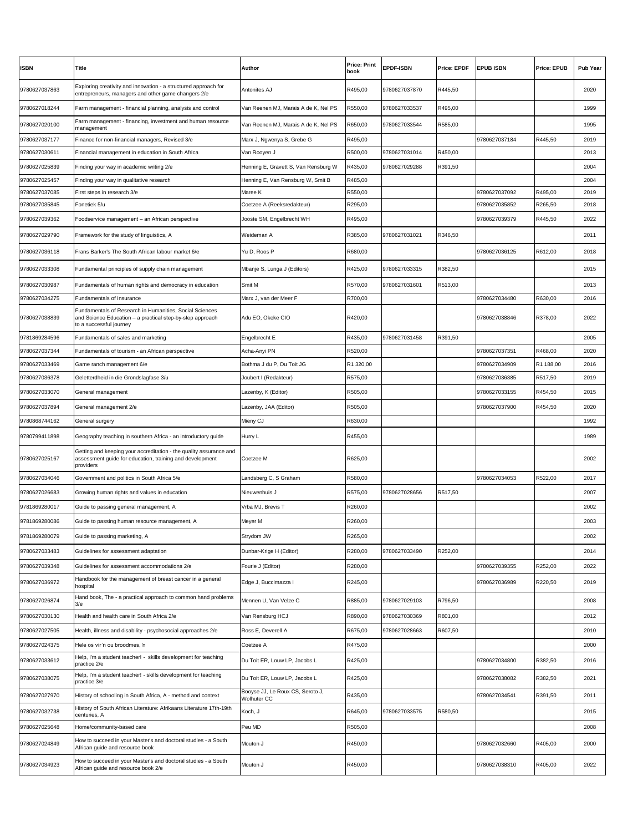| <b>ISBN</b>   | Title                                                                                                                                           | Author                                          | <b>Price: Print</b><br>book | <b>EPDF-ISBN</b> | <b>Price: EPDF</b> | <b>EPUB ISBN</b> | <b>Price: EPUB</b> | <b>Pub Year</b> |
|---------------|-------------------------------------------------------------------------------------------------------------------------------------------------|-------------------------------------------------|-----------------------------|------------------|--------------------|------------------|--------------------|-----------------|
| 9780627037863 | Exploring creativity and innovation - a structured approach for<br>entrepreneurs, managers and other game changers 2/e                          | Antonites AJ                                    | R495,00                     | 9780627037870    | R445,50            |                  |                    | 2020            |
| 9780627018244 | Farm management - financial planning, analysis and control                                                                                      | Van Reenen MJ, Marais A de K, Nel PS            | R550,00                     | 9780627033537    | R495,00            |                  |                    | 1999            |
| 9780627020100 | Farm management - financing, investment and human resource<br>management                                                                        | Van Reenen MJ, Marais A de K, Nel PS            | R650,00                     | 9780627033544    | R585,00            |                  |                    | 1995            |
| 9780627037177 | Finance for non-financial managers, Revised 3/e                                                                                                 | Marx J, Ngwenya S, Grebe G                      | R495,00                     |                  |                    | 9780627037184    | R445,50            | 2019            |
| 9780627030611 | Financial management in education in South Africa                                                                                               | Van Rooyen J                                    | R500,00                     | 9780627031014    | R450,00            |                  |                    | 2013            |
| 9780627025839 | Finding your way in academic writing 2/e                                                                                                        | Henning E, Gravett S, Van Rensburg W            | R435,00                     | 9780627029288    | R391,50            |                  |                    | 2004            |
| 9780627025457 | Finding your way in qualitative research                                                                                                        | Henning E, Van Rensburg W, Smit B               | R485,00                     |                  |                    |                  |                    | 2004            |
| 9780627037085 | First steps in research 3/e                                                                                                                     | Maree K                                         | R550,00                     |                  |                    | 9780627037092    | R495,00            | 2019            |
| 9780627035845 | Fonetiek 5/u                                                                                                                                    | Coetzee A (Reeksredakteur)                      | R295,00                     |                  |                    | 9780627035852    | R265,50            | 2018            |
| 9780627039362 | Foodservice management - an African perspective                                                                                                 | Jooste SM, Engelbrecht WH                       | R495,00                     |                  |                    | 9780627039379    | R445,50            | 2022            |
| 9780627029790 | Framework for the study of linguistics, A                                                                                                       | Weideman A                                      | R385,00                     | 9780627031021    | R346,50            |                  |                    | 2011            |
| 9780627036118 | Frans Barker's The South African labour market 6/e                                                                                              | Yu D, Roos P                                    | R680,00                     |                  |                    | 9780627036125    | R612,00            | 2018            |
| 9780627033308 | Fundamental principles of supply chain management                                                                                               | Mbanje S, Lunga J (Editors)                     | R425,00                     | 9780627033315    | R382,50            |                  |                    | 2015            |
| 9780627030987 | Fundamentals of human rights and democracy in education                                                                                         | Smit M                                          | R570,00                     | 9780627031601    | R513,00            |                  |                    | 2013            |
| 9780627034275 | Fundamentals of insurance                                                                                                                       | Marx J, van der Meer F                          | R700,00                     |                  |                    | 9780627034480    | R630,00            | 2016            |
| 9780627038839 | Fundamentals of Research in Humanities, Social Sciences<br>and Science Education - a practical step-by-step approach<br>to a successful journey | Adu EO, Okeke CIO                               | R420,00                     |                  |                    | 9780627038846    | R378,00            | 2022            |
| 9781869284596 | Fundamentals of sales and marketing                                                                                                             | Engelbrecht E                                   | R435,00                     | 9780627031458    | R391,50            |                  |                    | 2005            |
| 9780627037344 | Fundamentals of tourism - an African perspective                                                                                                | Acha-Anyi PN                                    | R520,00                     |                  |                    | 9780627037351    | R468,00            | 2020            |
| 9780627033469 | Game ranch management 6/e                                                                                                                       | Bothma J du P, Du Toit JG                       | R1 320,00                   |                  |                    | 9780627034909    | R1 188,00          | 2016            |
| 9780627036378 | Geletterdheid in die Grondslagfase 3/u                                                                                                          | Joubert I (Redakteur)                           | R575,00                     |                  |                    | 9780627036385    | R517,50            | 2019            |
| 9780627033070 | General management                                                                                                                              | Lazenby, K (Editor)                             | R505,00                     |                  |                    | 9780627033155    | R454,50            | 2015            |
| 9780627037894 | General management 2/e                                                                                                                          | Lazenby, JAA (Editor)                           | R505,00                     |                  |                    | 9780627037900    | R454,50            | 2020            |
|               |                                                                                                                                                 |                                                 |                             |                  |                    |                  |                    |                 |
| 9780868744162 | General surgery                                                                                                                                 | Mieny CJ                                        | R630,00                     |                  |                    |                  |                    | 1992            |
| 9780799411898 | Geography teaching in southern Africa - an introductory guide                                                                                   | Hurry L                                         | R455,00                     |                  |                    |                  |                    | 1989            |
| 9780627025167 | Getting and keeping your accreditation - the quality assurance and<br>assessment guide for education, training and development<br>providers     | Coetzee M                                       | R625,00                     |                  |                    |                  |                    | 2002            |
| 9780627034046 | Government and politics in South Africa 5/e                                                                                                     | Landsberg C, S Graham                           | R580,00                     |                  |                    | 9780627034053    | R522,00            | 2017            |
| 9780627026683 | Growing human rights and values in education                                                                                                    | Nieuwenhuis J                                   | R575,00                     | 9780627028656    | R517,50            |                  |                    | 2007            |
| 9781869280017 | Guide to passing general management, A                                                                                                          | Vrba MJ, Brevis T                               | R260,00                     |                  |                    |                  |                    | 2002            |
| 9781869280086 | Guide to passing human resource management, A                                                                                                   | Meyer M                                         | R260,00                     |                  |                    |                  |                    | 2003            |
| 9781869280079 | Guide to passing marketing, A                                                                                                                   | Strydom JW                                      | R265,00                     |                  |                    |                  |                    | 2002            |
| 9780627033483 | Guidelines for assessment adaptation                                                                                                            | Dunbar-Krige H (Editor)                         | R280,00                     | 9780627033490    | R252,00            |                  |                    | 2014            |
| 9780627039348 | Guidelines for assessment accommodations 2/e                                                                                                    | Fourie J (Editor)                               | R280,00                     |                  |                    | 9780627039355    | R252,00            | 2022            |
| 9780627036972 | Handbook for the management of breast cancer in a general<br>າospital                                                                           | Edge J, Buccimazza I                            | R245,00                     |                  |                    | 9780627036989    | R220,50            | 2019            |
| 9780627026874 | Hand book, The - a practical approach to common hand problems<br>3/e                                                                            | Mennen U, Van Velze C                           | R885,00                     | 9780627029103    | R796,50            |                  |                    | 2008            |
| 9780627030130 | Health and health care in South Africa 2/e                                                                                                      | Van Rensburg HCJ                                | R890,00                     | 9780627030369    | R801,00            |                  |                    | 2012            |
| 9780627027505 | Health, illness and disability - psychosocial approaches 2/e                                                                                    | Ross E, Deverell A                              | R675,00                     | 9780627028663    | R607,50            |                  |                    | 2010            |
| 9780627024375 | Hele os vir 'n ou broodmes, 'n                                                                                                                  | Coetzee A                                       | R475,00                     |                  |                    |                  |                    | 2000            |
| 9780627033612 | Help, I'm a student teacher! - skills development for teaching<br>practice 2/e                                                                  | Du Toit ER, Louw LP, Jacobs L                   | R425,00                     |                  |                    | 9780627034800    | R382,50            | 2016            |
| 9780627038075 | Help, I'm a student teacher! - skills development for teaching<br>practice 3/e                                                                  | Du Toit ER, Louw LP, Jacobs L                   | R425,00                     |                  |                    | 9780627038082    | R382,50            | 2021            |
| 9780627027970 | History of schooling in South Africa, A - method and context                                                                                    | Booyse JJ, Le Roux CS, Seroto J,<br>Wolhuter CC | R435,00                     |                  |                    | 9780627034541    | R391,50            | 2011            |
| 9780627032738 | History of South African Literature: Afrikaans Literature 17th-19th<br>centuries, A                                                             | Koch, J                                         | R645,00                     | 9780627033575    | R580,50            |                  |                    | 2015            |
| 9780627025648 | Home/community-based care                                                                                                                       | Peu MD                                          | R505,00                     |                  |                    |                  |                    | 2008            |
| 9780627024849 | How to succeed in your Master's and doctoral studies - a South<br>African guide and resource book                                               | Mouton J                                        | R450,00                     |                  |                    | 9780627032660    | R405,00            | 2000            |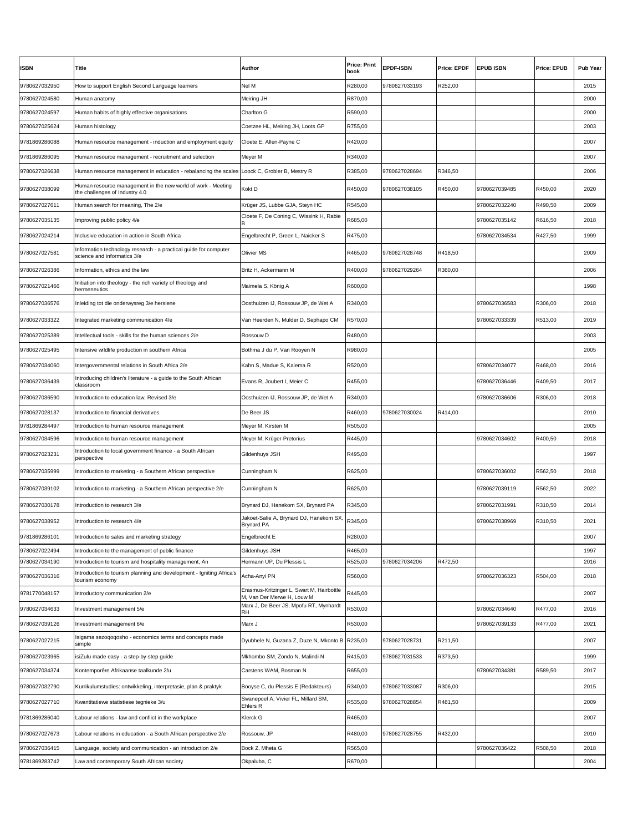| <b>ISBN</b>   | Title                                                                                          | Author                                                                  | <b>Price: Print</b><br>book | <b>EPDF-ISBN</b> | <b>Price: EPDF</b> | <b>EPUB ISBN</b> | <b>Price: EPUB</b> | <b>Pub Year</b> |
|---------------|------------------------------------------------------------------------------------------------|-------------------------------------------------------------------------|-----------------------------|------------------|--------------------|------------------|--------------------|-----------------|
| 9780627032950 | How to support English Second Language learners                                                | Nel M                                                                   | R280,00                     | 9780627033193    | R252,00            |                  |                    | 2015            |
| 9780627024580 | Human anatomy                                                                                  | Meiring JH                                                              | R870,00                     |                  |                    |                  |                    | 2000            |
| 9780627024597 | Human habits of highly effective organisations                                                 | <b>Charlton G</b>                                                       | R590,00                     |                  |                    |                  |                    | 2000            |
| 9780627025624 | Human histology                                                                                | Coetzee HL, Meiring JH, Loots GP                                        | R755,00                     |                  |                    |                  |                    | 2003            |
| 9781869286088 | Human resource management - induction and employment equity                                    | Cloete E, Allen-Payne C                                                 | R420,00                     |                  |                    |                  |                    | 2007            |
| 9781869286095 | Human resource management - recruitment and selection                                          | Meyer M                                                                 | R340,00                     |                  |                    |                  |                    | 2007            |
| 9780627026638 | Human resource management in education - rebalancing the scales Loock C, Grobler B, Mestry R   |                                                                         | R385,00                     | 9780627028694    | R346,50            |                  |                    | 2006            |
| 9780627038099 | Human resource management in the new world of work - Meeting<br>the challenges of Industry 4.0 | Kokt D                                                                  | R450,00                     | 9780627038105    | R450,00            | 9780627039485    | R450,00            | 2020            |
| 9780627027611 | Human search for meaning, The 2/e                                                              | Krüger JS, Lubbe GJA, Steyn HC                                          | R545,00                     |                  |                    | 9780627032240    | R490,50            | 2009            |
| 9780627035135 | Improving public policy 4/e                                                                    | Cloete F, De Coning C, Wissink H, Rabie                                 | R685,00                     |                  |                    | 9780627035142    | R616,50            | 2018            |
| 9780627024214 | Inclusive education in action in South Africa                                                  | Engelbrecht P, Green L, Naicker S                                       | R475,00                     |                  |                    | 9780627034534    | R427,50            | 1999            |
| 9780627027581 | nformation technology research - a practical guide for computer<br>science and informatics 3/e | <b>Olivier MS</b>                                                       | R465,00                     | 9780627028748    | R418,50            |                  |                    | 2009            |
| 9780627026386 | nformation, ethics and the law                                                                 | Britz H, Ackermann M                                                    | R400,00                     | 9780627029264    | R360,00            |                  |                    | 2006            |
| 9780627021466 | Initiation into theology - the rich variety of theology and<br>hermeneutics                    | Maimela S, König A                                                      | R600,00                     |                  |                    |                  |                    | 1998            |
| 9780627036576 | Inleiding tot die onderwysreg 3/e hersiene                                                     | Oosthuizen IJ, Rossouw JP, de Wet A                                     | R340,00                     |                  |                    | 9780627036583    | R306,00            | 2018            |
| 9780627033322 | ntegrated marketing communication 4/e                                                          | Van Heerden N, Mulder D, Sephapo CM                                     | R570,00                     |                  |                    | 9780627033339    | R513,00            | 2019            |
| 9780627025389 | Intellectual tools - skills for the human sciences 2/e                                         | Rossouw D                                                               | R480,00                     |                  |                    |                  |                    | 2003            |
| 9780627025495 | Intensive wildlife production in southern Africa                                               | Bothma J du P, Van Rooyen N                                             | R980,00                     |                  |                    |                  |                    | 2005            |
| 9780627034060 | Intergovernmental relations in South Africa 2/e                                                | Kahn S, Madue S, Kalema R                                               | R520,00                     |                  |                    | 9780627034077    | R468,00            | 2016            |
| 9780627036439 | ntroducing children's literature - a guide to the South African<br>classroom                   | Evans R, Joubert I, Meier C                                             | R455,00                     |                  |                    | 9780627036446    | R409,50            | 2017            |
| 9780627036590 | Introduction to education law, Revised 3/e                                                     | Oosthuizen IJ, Rossouw JP, de Wet A                                     | R340,00                     |                  |                    | 9780627036606    | R306,00            | 2018            |
| 9780627028137 | ntroduction to financial derivatives                                                           | De Beer JS                                                              | R460,00                     | 9780627030024    | R414,00            |                  |                    | 2010            |
| 9781869284497 | ntroduction to human resource management                                                       | Meyer M, Kirsten M                                                      | R505,00                     |                  |                    |                  |                    | 2005            |
| 9780627034596 | ntroduction to human resource management                                                       | Meyer M, Krüger-Pretorius                                               | R445,00                     |                  |                    | 9780627034602    | R400,50            | 2018            |
| 9780627023231 | ntroduction to local government finance - a South African<br>perspective                       | Gildenhuys JSH                                                          | R495,00                     |                  |                    |                  |                    | 1997            |
| 9780627035999 | Introduction to marketing - a Southern African perspective                                     | Cunningham N                                                            | R625,00                     |                  |                    | 9780627036002    | R562,50            | 2018            |
| 9780627039102 | Introduction to marketing - a Southern African perspective 2/e                                 | Cunningham N                                                            | R625,00                     |                  |                    | 9780627039119    | R562,50            | 2022            |
| 9780627030178 | Introduction to research 3/e                                                                   | Brynard DJ, Hanekom SX, Brynard PA                                      | R345,00                     |                  |                    | 9780627031991    | R310,50            | 2014            |
| 9780627038952 | ntroduction to research 4/e                                                                    | Jakoet-Salie A, Brynard DJ, Hanekom SX,<br><b>Brynard PA</b>            | R345,00                     |                  |                    | 9780627038969    | R310,50            | 2021            |
| 9781869286101 | Introduction to sales and marketing strategy                                                   | Engelbrecht E                                                           | R280,00                     |                  |                    |                  |                    | 2007            |
| 9780627022494 | Introduction to the management of public finance                                               | Gildenhuys JSH                                                          | R465,00                     |                  |                    |                  |                    | 1997            |
| 9780627034190 | ntroduction to tourism and hospitality management, An                                          | Hermann UP, Du Plessis L                                                | R525,00                     | 9780627034206    | R472,50            |                  |                    | 2016            |
| 9780627036316 | Introduction to tourism planning and development - Igniting Africa's<br>tourism economy        | Acha-Anyi PN                                                            | R560,00                     |                  |                    | 9780627036323    | R504,00            | 2018            |
| 9781770048157 | Introductory communication 2/e                                                                 | Erasmus-Kritzinger L, Swart M, Hairbottle<br>M, Van Der Merwe H, Louw M | R445,00                     |                  |                    |                  |                    | 2007            |
| 9780627034633 | Investment management 5/e                                                                      | Marx J, De Beer JS, Mpofu RT, Mynhardt<br><b>RH</b>                     | R530,00                     |                  |                    | 9780627034640    | R477,00            | 2016            |
| 9780627039126 | Investment management 6/e                                                                      | Marx J                                                                  | R530,00                     |                  |                    | 9780627039133    | R477,00            | 2021            |
| 9780627027215 | Isigama sezoqoqosho - economics terms and concepts made<br>simple                              | Dyubhele N, Guzana Z, Duze N, Mkonto B R235,00                          |                             | 9780627028731    | R211,50            |                  |                    | 2007            |
| 9780627023965 | siZulu made easy - a step-by-step guide                                                        | Mkhombo SM, Zondo N, Malindi N                                          | R415,00                     | 9780627031533    | R373,50            |                  |                    | 1999            |
| 9780627034374 | Kontemporêre Afrikaanse taalkunde 2/u                                                          | Carstens WAM, Bosman N                                                  | R655,00                     |                  |                    | 9780627034381    | R589,50            | 2017            |
| 9780627032790 | Kurrikulumstudies: ontwikkeling, interpretasie, plan & praktyk                                 | Booyse C, du Plessis E (Redakteurs)                                     | R340,00                     | 9780627033087    | R306,00            |                  |                    | 2015            |
| 9780627027710 | Kwantitatiewe statistiese tegnieke 3/u                                                         | Swanepoel A, Vivier FL, Millard SM,<br>Ehlers R                         | R535,00                     | 9780627028854    | R481,50            |                  |                    | 2009            |
| 9781869286040 | Labour relations - law and conflict in the workplace                                           | Klerck G                                                                | R465,00                     |                  |                    |                  |                    | 2007            |
| 9780627027673 | Labour relations in education - a South African perspective 2/e                                | Rossouw, JP                                                             | R480,00                     | 9780627028755    | R432,00            |                  |                    | 2010            |
| 9780627036415 | Language, society and communication - an introduction 2/e                                      | Bock Z, Mheta G                                                         | R565,00                     |                  |                    | 9780627036422    | R508,50            | 2018            |
| 9781869283742 | Law and contemporary South African society                                                     | Okpaluba, C                                                             | R670,00                     |                  |                    |                  |                    | 2004            |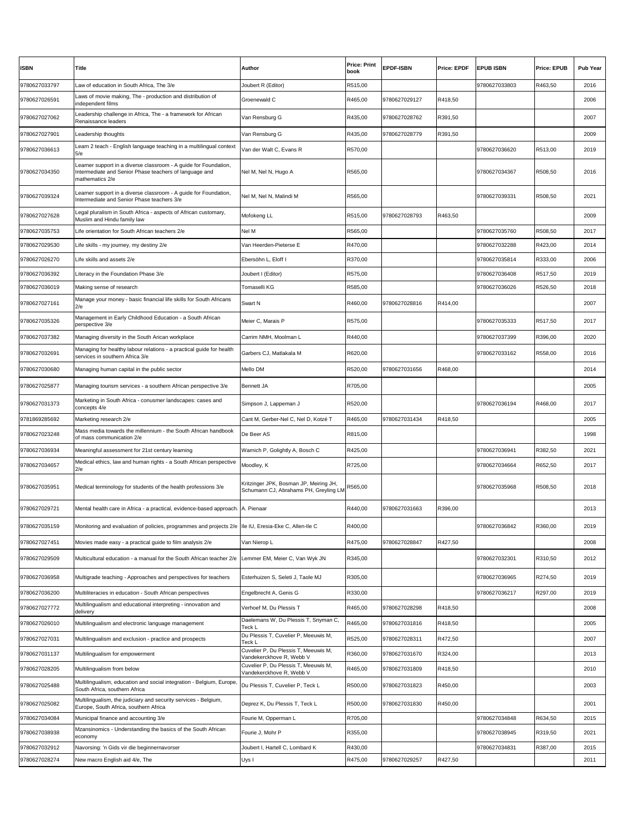| <b>ISBN</b>   | Title                                                                                                                                         | <b>Author</b>                                                                           | <b>Price: Print</b><br>book | <b>EPDF-ISBN</b> | <b>Price: EPDF</b> | <b>EPUB ISBN</b> | <b>Price: EPUB</b> | <b>Pub Year</b> |
|---------------|-----------------------------------------------------------------------------------------------------------------------------------------------|-----------------------------------------------------------------------------------------|-----------------------------|------------------|--------------------|------------------|--------------------|-----------------|
| 9780627033797 | Law of education in South Africa, The 3/e                                                                                                     | Joubert R (Editor)                                                                      | R515,00                     |                  |                    | 9780627033803    | R463,50            | 2016            |
| 9780627026591 | Laws of movie making, The - production and distribution of<br>independent films                                                               | Groenewald C                                                                            | R465,00                     | 9780627029127    | R418,50            |                  |                    | 2006            |
| 9780627027062 | Leadership challenge in Africa, The - a framework for African<br>Renaissance leaders                                                          | Van Rensburg G                                                                          | R435,00                     | 9780627028762    | R391,50            |                  |                    | 2007            |
| 9780627027901 | Leadership thoughts                                                                                                                           | Van Rensburg G                                                                          | R435,00                     | 9780627028779    | R391,50            |                  |                    | 2009            |
| 9780627036613 | Learn 2 teach - English language teaching in a multilingual context<br>5/e                                                                    | Van der Walt C, Evans R                                                                 | R570,00                     |                  |                    | 9780627036620    | R513,00            | 2019            |
| 9780627034350 | Learner support in a diverse classroom - A guide for Foundation,<br>Intermediate and Senior Phase teachers of language and<br>mathematics 2/e | Nel M, Nel N, Hugo A                                                                    | R565,00                     |                  |                    | 9780627034367    | R508,50            | 2016            |
| 9780627039324 | Learner support in a diverse classroom - A guide for Foundation,<br>Intermediate and Senior Phase teachers 3/e                                | Nel M, Nel N, Malindi M                                                                 | R565,00                     |                  |                    | 9780627039331    | R508,50            | 2021            |
| 9780627027628 | Legal pluralism in South Africa - aspects of African customary,<br>Muslim and Hindu family law                                                | Mofokeng LL                                                                             | R515,00                     | 9780627028793    | R463,50            |                  |                    | 2009            |
| 9780627035753 | Life orientation for South African teachers 2/e                                                                                               | Nel M                                                                                   | R565,00                     |                  |                    | 9780627035760    | R508,50            | 2017            |
| 9780627029530 | Life skills - my journey, my destiny 2/e                                                                                                      | Van Heerden-Pieterse E                                                                  | R470,00                     |                  |                    | 9780627032288    | R423,00            | 2014            |
| 9780627026270 | Life skills and assets 2/e                                                                                                                    | Ebersöhn L, Eloff I                                                                     | R370,00                     |                  |                    | 9780627035814    | R333,00            | 2006            |
| 9780627036392 | Literacy in the Foundation Phase 3/e                                                                                                          | Joubert I (Editor)                                                                      | R575,00                     |                  |                    | 9780627036408    | R517,50            | 2019            |
| 9780627036019 | Making sense of research                                                                                                                      | Tomaselli KG                                                                            | R585,00                     |                  |                    | 9780627036026    | R526,50            | 2018            |
| 9780627027161 | Manage your money - basic financial life skills for South Africans<br>2/e                                                                     | Swart N                                                                                 | R460,00                     | 9780627028816    | R414,00            |                  |                    | 2007            |
| 9780627035326 | Management in Early Childhood Education - a South African<br>perspective 3/e                                                                  | Meier C, Marais P                                                                       | R575,00                     |                  |                    | 9780627035333    | R517,50            | 2017            |
| 9780627037382 | Managing diversity in the South Arican workplace                                                                                              | Carrim NMH, Moolman L                                                                   | R440,00                     |                  |                    | 9780627037399    | R396,00            | 2020            |
| 9780627032691 | Managing for healthy labour relations - a practical quide for health<br>services in southern Africa 3/e                                       | Garbers CJ, Matlakala M                                                                 | R620,00                     |                  |                    | 9780627033162    | R558,00            | 2016            |
| 9780627030680 | Managing human capital in the public sector                                                                                                   | Mello DM                                                                                | R520,00                     | 9780627031656    | R468,00            |                  |                    | 2014            |
| 9780627025877 | Managing tourism services - a southern African perspective 3/e                                                                                | <b>Bennett JA</b>                                                                       | R705,00                     |                  |                    |                  |                    | 2005            |
| 9780627031373 | Marketing in South Africa - conusmer landscapes: cases and<br>concepts 4/e                                                                    | Simpson J, Lappeman J                                                                   | R520,00                     |                  |                    | 9780627036194    | R468,00            | 2017            |
| 9781869285692 | Marketing research 2/e                                                                                                                        | Cant M, Gerber-Nel C, Nel D, Kotzé T                                                    | R465,00                     | 9780627031434    | R418,50            |                  |                    | 2005            |
| 9780627023248 | Mass media towards the millennium - the South African handbook<br>of mass communication 2/e                                                   | De Beer AS                                                                              | R815,00                     |                  |                    |                  |                    | 1998            |
| 9780627036934 | Meaningful assessment for 21st century learning                                                                                               | Warnich P, Golightly A, Bosch C                                                         | R425,00                     |                  |                    | 9780627036941    | R382,50            | 2021            |
| 9780627034657 | Medical ethics, law and human rights - a South African perspective<br>2/e                                                                     | Moodley, K                                                                              | R725,00                     |                  |                    | 9780627034664    | R652,50            | 2017            |
| 9780627035951 | Medical terminology for students of the health professions 3/e                                                                                | Kritzinger JPK, Bosman JP, Meiring JH,<br>Schumann CJ, Abrahams PH, Greyling LM R565,00 |                             |                  |                    | 9780627035968    | R508,50            | 2018            |
| 9780627029721 | Mental health care in Africa - a practical, evidence-based approach. A. Pienaar                                                               |                                                                                         | R440,00                     | 9780627031663    | R396,00            |                  |                    | 2013            |
| 9780627035159 | Monitoring and evaluation of policies, programmes and projects 2/e  Ile IU, Eresia-Eke C, Allen-Ile C                                         |                                                                                         | R400,00                     |                  |                    | 9780627036842    | R360,00            | 2019            |
| 9780627027451 | Movies made easy - a practical guide to film analysis 2/e                                                                                     | Van Nierop L                                                                            | R475,00                     | 9780627028847    | R427,50            |                  |                    | 2008            |
| 9780627029509 | Multicultural education - a manual for the South African teacher 2/e                                                                          | Lemmer EM, Meier C, Van Wyk JN                                                          | R345,00                     |                  |                    | 9780627032301    | R310,50            | 2012            |
| 9780627036958 | Multigrade teaching - Approaches and perspectives for teachers                                                                                | Esterhuizen S, Seleti J, Taole MJ                                                       | R305,00                     |                  |                    | 9780627036965    | R274,50            | 2019            |
| 9780627036200 | Multiliteracies in education - South African perspectives                                                                                     | Engelbrecht A, Genis G                                                                  | R330,00                     |                  |                    | 9780627036217    | R297,00            | 2019            |
| 9780627027772 | Multilingualism and educational interpreting - innovation and<br>delivery                                                                     | Verhoef M, Du Plessis T                                                                 | R465,00                     | 9780627028298    | R418,50            |                  |                    | 2008            |
| 9780627026010 | Multilingualism and electronic language management                                                                                            | Daelemans W, Du Plessis T, Snyman C,<br>Гесk L                                          | R465,00                     | 9780627031816    | R418,50            |                  |                    | 2005            |
| 9780627027031 | Multilingualism and exclusion - practice and prospects                                                                                        | Du Plessis T, Cuvelier P, Meeuwis M,<br>Гесk L                                          | R525,00                     | 9780627028311    | R472,50            |                  |                    | 2007            |
| 9780627031137 | Multilingualism for empowerment                                                                                                               | Cuvelier P, Du Plessis T, Meeuwis M,<br>Vandekerckhove R, Webb V                        | R360,00                     | 9780627031670    | R324,00            |                  |                    | 2013            |
| 9780627028205 | Multilingualism from below                                                                                                                    | Cuvelier P, Du Plessis T, Meeuwis M,<br>Vandekerckhove R, Webb V                        | R465,00                     | 9780627031809    | R418,50            |                  |                    | 2010            |
| 9780627025488 | Multilingualism, education and social integration - Belgium, Europe,<br>South Africa, southern Africa                                         | Du Plessis T. Cuvelier P. Teck L.                                                       | R500,00                     | 9780627031823    | R450,00            |                  |                    | 2003            |
| 9780627025082 | Multilingualism, the judiciary and security services - Belgium,<br>Europe, South Africa, southern Africa                                      | Deprez K, Du Plessis T, Teck L                                                          | R500,00                     | 9780627031830    | R450,00            |                  |                    | 2001            |
| 9780627034084 | Municipal finance and accounting 3/e                                                                                                          | Fourie M, Opperman L                                                                    | R705,00                     |                  |                    | 9780627034848    | R634,50            | 2015            |
| 9780627038938 | Mzansinomics - Understanding the basics of the South African<br>economy                                                                       | Fourie J, Mohr P                                                                        | R355,00                     |                  |                    | 9780627038945    | R319,50            | 2021            |
| 9780627032912 | Navorsing: 'n Gids vir die beginnernavorser                                                                                                   | Joubert I, Hartell C, Lombard K                                                         | R430,00                     |                  |                    | 9780627034831    | R387,00            | 2015            |
| 9780627028274 | New macro English aid 4/e, The                                                                                                                | Uys I                                                                                   | R475,00                     | 9780627029257    | R427,50            |                  |                    | 2011            |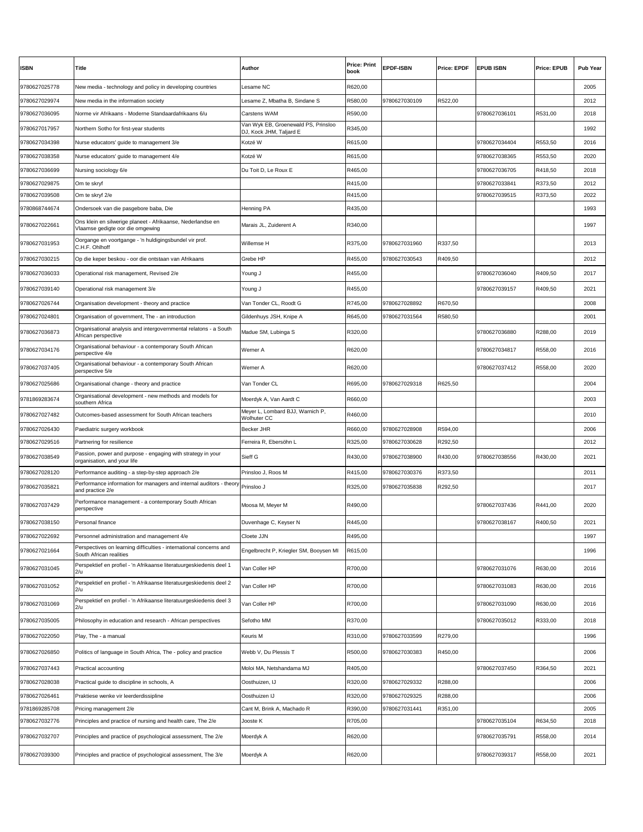| <b>ISBN</b>   | Title                                                                                           | <b>Author</b>                                                  | <b>Price: Print</b><br>book | <b>EPDF-ISBN</b> | <b>Price: EPDF</b> | <b>EPUB ISBN</b> | <b>Price: EPUB</b> | <b>Pub Year</b> |
|---------------|-------------------------------------------------------------------------------------------------|----------------------------------------------------------------|-----------------------------|------------------|--------------------|------------------|--------------------|-----------------|
| 9780627025778 | New media - technology and policy in developing countries                                       | Lesame NC                                                      | R620,00                     |                  |                    |                  |                    | 2005            |
| 9780627029974 | New media in the information society                                                            | Lesame Z, Mbatha B, Sindane S                                  | R580,00                     | 9780627030109    | R522,00            |                  |                    | 2012            |
| 9780627036095 | Norme vir Afrikaans - Moderne Standaardafrikaans 6/u                                            | <b>Carstens WAM</b>                                            | R590,00                     |                  |                    | 9780627036101    | R531,00            | 2018            |
| 9780627017957 | Northern Sotho for first-year students                                                          | Van Wyk EB, Groenewald PS, Prinsloo<br>DJ, Kock JHM, Taljard E | R345,00                     |                  |                    |                  |                    | 1992            |
| 9780627034398 | Nurse educators' guide to management 3/e                                                        | Kotzé W                                                        | R615,00                     |                  |                    | 9780627034404    | R553,50            | 2016            |
| 9780627038358 | Nurse educators' guide to management 4/e                                                        | Kotzé W                                                        | R615,00                     |                  |                    | 9780627038365    | R553,50            | 2020            |
| 9780627036699 | Nursing sociology 6/e                                                                           | Du Toit D, Le Roux E                                           | R465,00                     |                  |                    | 9780627036705    | R418,50            | 2018            |
| 9780627029875 | Om te skryf                                                                                     |                                                                | R415,00                     |                  |                    | 9780627033841    | R373,50            | 2012            |
| 9780627039508 | Om te skryf 2/e                                                                                 |                                                                | R415,00                     |                  |                    | 9780627039515    | R373,50            | 2022            |
| 9780868744674 | Ondersoek van die pasgebore baba, Die                                                           | <b>Henning PA</b>                                              | R435,00                     |                  |                    |                  |                    | 1993            |
| 9780627022661 | Ons klein en silwerige planeet - Afrikaanse, Nederlandse en<br>Vlaamse gedigte oor die omgewing | Marais JL, Zuiderent A                                         | R340,00                     |                  |                    |                  |                    | 1997            |
| 9780627031953 | Oorgange en voortgange - 'n huldigingsbundel vir prof.<br>C.H.F. Ohlhoff                        | Willemse H                                                     | R375,00                     | 9780627031960    | R337,50            |                  |                    | 2013            |
| 9780627030215 | Op die keper beskou - oor die ontstaan van Afrikaans                                            | Grebe HP                                                       | R455,00                     | 9780627030543    | R409,50            |                  |                    | 2012            |
| 9780627036033 | Operational risk management, Revised 2/e                                                        | Young J                                                        | R455,00                     |                  |                    | 9780627036040    | R409,50            | 2017            |
| 9780627039140 | Operational risk management 3/e                                                                 | Young J                                                        | R455,00                     |                  |                    | 9780627039157    | R409,50            | 2021            |
| 9780627026744 | Organisation development - theory and practice                                                  | Van Tonder CL, Roodt G                                         | R745,00                     | 9780627028892    | R670,50            |                  |                    | 2008            |
| 9780627024801 | Organisation of government, The - an introduction                                               | Gildenhuys JSH, Knipe A                                        | R645,00                     | 9780627031564    | R580,50            |                  |                    | 2001            |
| 9780627036873 | Organisational analysis and intergovernmental relatons - a South<br>African perspective         | Madue SM, Lubinga S                                            | R320,00                     |                  |                    | 9780627036880    | R288,00            | 2019            |
| 9780627034176 | Organisational behaviour - a contemporary South African<br>perspective 4/e                      | Werner A                                                       | R620,00                     |                  |                    | 9780627034817    | R558,00            | 2016            |
| 9780627037405 | Organisational behaviour - a contemporary South African<br>perspective 5/e                      | Werner A                                                       | R620,00                     |                  |                    | 9780627037412    | R558,00            | 2020            |
| 9780627025686 | Organisational change - theory and practice                                                     | Van Tonder CL                                                  | R695,00                     | 9780627029318    | R625,50            |                  |                    | 2004            |
| 9781869283674 | Organisational development - new methods and models for<br>southern Africa                      | Moerdyk A, Van Aardt C                                         | R660,00                     |                  |                    |                  |                    | 2003            |
| 9780627027482 | Outcomes-based assessment for South African teachers                                            | Meyer L, Lombard BJJ, Warnich P,<br>Wolhuter CC                | R460,00                     |                  |                    |                  |                    | 2010            |
| 9780627026430 | Paediatric surgery workbook                                                                     | <b>Becker JHR</b>                                              | R660,00                     | 9780627028908    | R594,00            |                  |                    | 2006            |
| 9780627029516 | Partnering for resilience                                                                       | Ferreira R, Ebersöhn L                                         | R325,00                     | 9780627030628    | R292,50            |                  |                    | 2012            |
| 9780627038549 | Passion, power and purpose - engaging with strategy in your<br>organisation, and your life      | Sieff G                                                        | R430,00                     | 9780627038900    | R430,00            | 9780627038556    | R430,00            | 2021            |
| 9780627028120 | Performance auditing - a step-by-step approach 2/e                                              | Prinsloo J, Roos M                                             | R415,00                     | 9780627030376    | R373,50            |                  |                    | 2011            |
| 9780627035821 | Performance information for managers and internal auditors - theory<br>and practice 2/e         | Prinsloo J                                                     | R325,00                     | 9780627035838    | R292,50            |                  |                    | 2017            |
| 9780627037429 | Performance management - a contemporary South African<br>perspective                            | Moosa M, Meyer M                                               | R490,00                     |                  |                    | 9780627037436    | R441,00            | 2020            |
| 9780627038150 | Personal finance                                                                                | Duvenhage C, Keyser N                                          | R445,00                     |                  |                    | 9780627038167    | R400,50            | 2021            |
| 9780627022692 | Personnel administration and management 4/e                                                     | Cloete JJN                                                     | R495,00                     |                  |                    |                  |                    | 1997            |
| 9780627021664 | Perspectives on learning difficulties - international concerns and<br>South African realities   | Engelbrecht P, Kriegler SM, Booysen MI                         | R615,00                     |                  |                    |                  |                    | 1996            |
| 9780627031045 | Perspektief en profiel - 'n Afrikaanse literatuurgeskiedenis deel 1<br>2/u                      | Van Coller HP                                                  | R700,00                     |                  |                    | 9780627031076    | R630,00            | 2016            |
| 9780627031052 | Perspektief en profiel - 'n Afrikaanse literatuurgeskiedenis deel 2<br>2/u                      | Van Coller HP                                                  | R700,00                     |                  |                    | 9780627031083    | R630,00            | 2016            |
| 9780627031069 | Perspektief en profiel - 'n Afrikaanse literatuurgeskiedenis deel 3<br>2/u                      | Van Coller HP                                                  | R700,00                     |                  |                    | 9780627031090    | R630,00            | 2016            |
| 9780627035005 | Philosophy in education and research - African perspectives                                     | Sefotho MM                                                     | R370,00                     |                  |                    | 9780627035012    | R333,00            | 2018            |
| 9780627022050 | Play, The - a manual                                                                            | Keuris M                                                       | R310,00                     | 9780627033599    | R279,00            |                  |                    | 1996            |
| 9780627026850 | Politics of language in South Africa, The - policy and practice                                 | Webb V, Du Plessis T                                           | R500,00                     | 9780627030383    | R450,00            |                  |                    | 2006            |
| 9780627037443 | Practical accounting                                                                            | Moloi MA, Netshandama MJ                                       | R405,00                     |                  |                    | 9780627037450    | R364,50            | 2021            |
| 9780627028038 | Practical guide to discipline in schools, A                                                     | Oosthuizen, IJ                                                 | R320,00                     | 9780627029332    | R288,00            |                  |                    | 2006            |
| 9780627026461 | Praktiese wenke vir leerderdissipline                                                           | Oosthuizen IJ                                                  | R320,00                     | 9780627029325    | R288,00            |                  |                    | 2006            |
| 9781869285708 | Pricing management 2/e                                                                          | Cant M, Brink A, Machado R                                     | R390,00                     | 9780627031441    | R351,00            |                  |                    | 2005            |
| 9780627032776 | Principles and practice of nursing and health care, The 2/e                                     | Jooste K                                                       | R705,00                     |                  |                    | 9780627035104    | R634,50            | 2018            |
| 9780627032707 | Principles and practice of psychological assessment, The 2/e                                    | Moerdyk A                                                      | R620,00                     |                  |                    | 9780627035791    | R558,00            | 2014            |
| 9780627039300 | Principles and practice of psychological assessment, The 3/e                                    | Moerdyk A                                                      | R620,00                     |                  |                    | 9780627039317    | R558,00            | 2021            |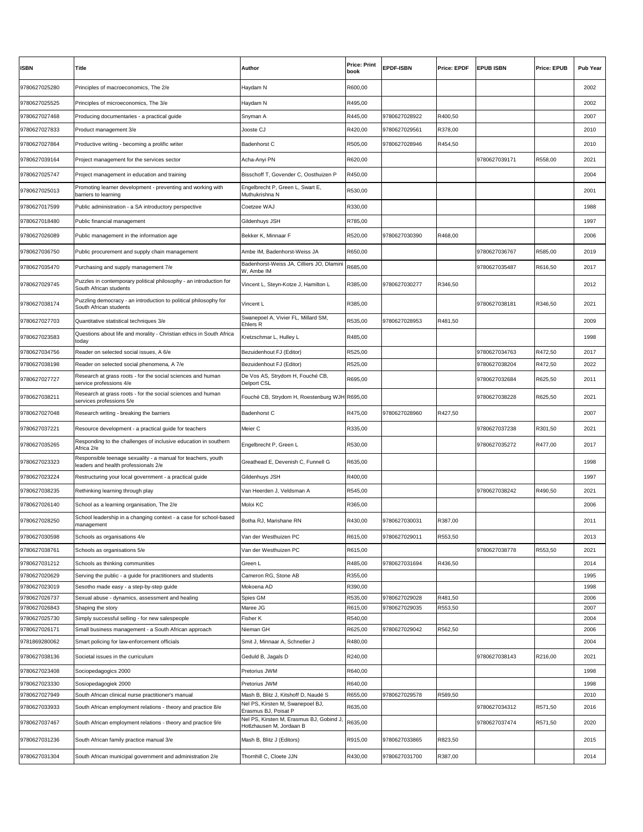| <b>ISBN</b>   | Title                                                                                                | Author                                                              | <b>Price: Print</b><br>book | <b>EPDF-ISBN</b> | <b>Price: EPDF</b> | <b>EPUB ISBN</b> | Price: EPUB | <b>Pub Year</b> |
|---------------|------------------------------------------------------------------------------------------------------|---------------------------------------------------------------------|-----------------------------|------------------|--------------------|------------------|-------------|-----------------|
| 9780627025280 | Principles of macroeconomics, The 2/e                                                                | Haydam N                                                            | R600,00                     |                  |                    |                  |             | 2002            |
| 9780627025525 | Principles of microeconomics, The 3/e                                                                | Haydam N                                                            | R495,00                     |                  |                    |                  |             | 2002            |
| 9780627027468 | Producing documentaries - a practical guide                                                          | Snyman A                                                            | R445,00                     | 9780627028922    | R400,50            |                  |             | 2007            |
| 9780627027833 | Product management 3/e                                                                               | Jooste CJ                                                           | R420,00                     | 9780627029561    | R378,00            |                  |             | 2010            |
| 9780627027864 | Productive writing - becoming a prolific writer                                                      | Badenhorst C                                                        | R505,00                     | 9780627028946    | R454,50            |                  |             | 2010            |
| 9780627039164 | Project management for the services sector                                                           | Acha-Anyi PN                                                        | R620,00                     |                  |                    | 9780627039171    | R558,00     | 2021            |
| 9780627025747 | Project management in education and training                                                         | Bisschoff T, Govender C, Oosthuizen P                               | R450,00                     |                  |                    |                  |             | 2004            |
| 9780627025013 | Promoting learner development - preventing and working with<br>barriers to learning                  | Engelbrecht P, Green L, Swart E,<br>Muthukrishna N                  | R530,00                     |                  |                    |                  |             | 2001            |
| 9780627017599 | Public administration - a SA introductory perspective                                                | Coetzee WAJ                                                         | R330,00                     |                  |                    |                  |             | 1988            |
| 9780627018480 | Public financial management                                                                          | Gildenhuys JSH                                                      | R785,00                     |                  |                    |                  |             | 1997            |
| 9780627026089 | Public management in the information age                                                             | Bekker K, Minnaar F                                                 | R520,00                     | 9780627030390    | R468,00            |                  |             | 2006            |
| 9780627036750 | Public procurement and supply chain management                                                       | Ambe IM, Badenhorst-Weiss JA                                        | R650,00                     |                  |                    | 9780627036767    | R585,00     | 2019            |
| 9780627035470 | Purchasing and supply management 7/e                                                                 | Badenhorst-Weiss JA, Cilliers JO, Dlamini<br>W. Ambe IM             | R685,00                     |                  |                    | 9780627035487    | R616,50     | 2017            |
| 9780627029745 | Puzzles in contemporary political philosophy - an introduction for<br>South African students         | Vincent L, Steyn-Kotze J, Hamilton L                                | R385,00                     | 9780627030277    | R346,50            |                  |             | 2012            |
| 9780627038174 | Puzzling democracy - an introduction to political philosophy for<br>South African students           | Vincent L                                                           | R385,00                     |                  |                    | 9780627038181    | R346,50     | 2021            |
| 9780627027703 | Quantitative statistical techniques 3/e                                                              | Swanepoel A, Vivier FL, Millard SM,<br>Ehlers R                     | R535,00                     | 9780627028953    | R481,50            |                  |             | 2009            |
| 9780627023583 | Questions about life and morality - Christian ethics in South Africa<br>today                        | Kretzschmar L, Hulley L                                             | R485,00                     |                  |                    |                  |             | 1998            |
| 9780627034756 | Reader on selected social issues, A 6/e                                                              | Bezuidenhout FJ (Editor)                                            | R525,00                     |                  |                    | 9780627034763    | R472,50     | 2017            |
| 9780627038198 | Reader on selected social phenomena, A 7/e                                                           | Bezuidenhout FJ (Editor)                                            | R525,00                     |                  |                    | 9780627038204    | R472,50     | 2022            |
| 9780627027727 | Research at grass roots - for the social sciences and human<br>service professions 4/e               | De Vos AS, Strydom H, Fouché CB,<br>Delport CSL                     | R695,00                     |                  |                    | 9780627032684    | R625,50     | 2011            |
| 9780627038211 | Research at grass roots - for the social sciences and human<br>services professions 5/e              | Fouché CB, Strydom H, Roestenburg WJH R695,00                       |                             |                  |                    | 9780627038228    | R625,50     | 2021            |
| 9780627027048 | Research writing - breaking the barriers                                                             | Badenhorst C                                                        | R475,00                     | 9780627028960    | R427,50            |                  |             | 2007            |
| 9780627037221 | Resource development - a practical guide for teachers                                                | Meier C                                                             | R335,00                     |                  |                    | 9780627037238    | R301,50     | 2021            |
| 9780627035265 | Responding to the challenges of inclusive education in southern<br>Africa 2/e                        | Engelbrecht P, Green L                                              | R530,00                     |                  |                    | 9780627035272    | R477,00     | 2017            |
| 9780627023323 | Responsible teenage sexuality - a manual for teachers, youth<br>leaders and health professionals 2/e | Greathead E, Devenish C, Funnell G                                  | R635,00                     |                  |                    |                  |             | 1998            |
| 9780627023224 | Restructuring your local government - a practical guide                                              | Gildenhuys JSH                                                      | R400,00                     |                  |                    |                  |             | 1997            |
| 9780627038235 | Rethinking learning through play                                                                     | Van Heerden J, Veldsman A                                           | R545,00                     |                  |                    | 9780627038242    | R490,50     | 2021            |
| 9780627026140 | School as a learning organisation, The 2/e                                                           | Moloi KC                                                            | R365,00                     |                  |                    |                  |             | 2006            |
| 9780627028250 | School leadership in a changing context - a case for school-based<br>management                      | Botha RJ, Marishane RN                                              | R430,00                     | 9780627030031    | R387,00            |                  |             | 2011            |
| 9780627030598 | Schools as organisations 4/e                                                                         | √an der Westhuizen PC                                               | R615,00                     | 9780627029011    | R553,50            |                  |             | 2013            |
| 9780627038761 | Schools as organisations 5/e                                                                         | Van der Westhuizen PC                                               | R615,00                     |                  |                    | 9780627038778    | R553,50     | 2021            |
| 9780627031212 | Schools as thinking communities                                                                      | Green L                                                             | R485,00                     | 9780627031694    | R436,50            |                  |             | 2014            |
| 9780627020629 | Serving the public - a guide for practitioners and students                                          | Cameron RG, Stone AB                                                | R355,00                     |                  |                    |                  |             | 1995            |
| 9780627023019 | Sesotho made easy - a step-by-step guide                                                             | Mokoena AD                                                          | R390,00                     |                  |                    |                  |             | 1998            |
| 9780627026737 | Sexual abuse - dynamics, assessment and healing                                                      | Spies GM                                                            | R535,00                     | 9780627029028    | R481,50            |                  |             | 2006            |
| 9780627026843 | Shaping the story                                                                                    | Maree JG                                                            | R615,00                     | 9780627029035    | R553,50            |                  |             | 2007            |
| 9780627025730 | Simply successful selling - for new salespeople                                                      | Fisher K                                                            | R540,00                     |                  |                    |                  |             | 2004            |
| 9780627026171 | Small business management - a South African approach                                                 | Nieman GH                                                           | R625,00                     | 9780627029042    | R562,50            |                  |             | 2006            |
| 9781869280062 | Smart policing for law-enforcement officials                                                         | Smit J, Minnaar A, Schnetler J                                      | R480,00                     |                  |                    |                  |             | 2004            |
| 9780627038136 | Societal issues in the curriculum                                                                    | Geduld B, Jagals D                                                  | R240,00                     |                  |                    | 9780627038143    | R216,00     | 2021            |
| 9780627023408 | Sociopedagogics 2000                                                                                 | Pretorius JWM                                                       | R640,00                     |                  |                    |                  |             | 1998            |
| 9780627023330 | Sosiopedagogiek 2000                                                                                 | Pretorius JWM                                                       | R640,00                     |                  |                    |                  |             | 1998            |
| 9780627027949 | South African clinical nurse practitioner's manual                                                   | Mash B, Blitz J, Kitshoff D, Naudé S                                | R655,00                     | 9780627029578    | R589,50            |                  |             | 2010            |
| 9780627033933 | South African employment relations - theory and practice 8/e                                         | Nel PS, Kirsten M, Swanepoel BJ,<br>Erasmus BJ, Poisat P            | R635,00                     |                  |                    | 9780627034312    | R571,50     | 2016            |
| 9780627037467 | South African employment relations - theory and practice 9/e                                         | Nel PS, Kirsten M, Erasmus BJ, Gobind J<br>Hotlzhausen M, Jordaan B | R635,00                     |                  |                    | 9780627037474    | R571,50     | 2020            |
| 9780627031236 | South African family practice manual 3/e                                                             | Mash B, Blitz J (Editors)                                           | R915,00                     | 9780627033865    | R823,50            |                  |             | 2015            |
| 9780627031304 | South African municipal government and administration 2/e                                            | Thornhill C, Cloete JJN                                             | R430,00                     | 9780627031700    | R387,00            |                  |             | 2014            |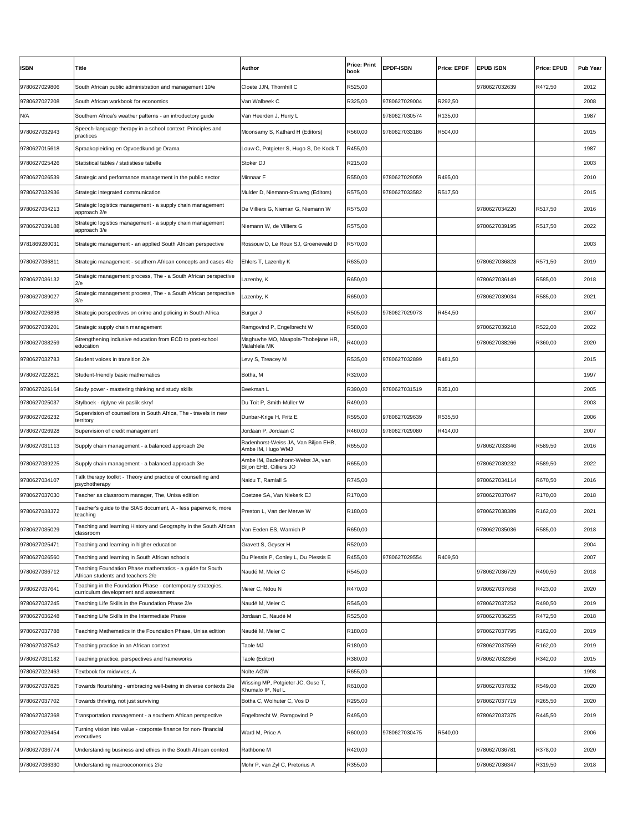|                                |                                                                                                      |                                                        | <b>Price: Print</b> |                  |                    |                  |                    |                 |
|--------------------------------|------------------------------------------------------------------------------------------------------|--------------------------------------------------------|---------------------|------------------|--------------------|------------------|--------------------|-----------------|
| <b>ISBN</b>                    | Title                                                                                                | Author                                                 | book                | <b>EPDF-ISBN</b> | <b>Price: EPDF</b> | <b>EPUB ISBN</b> | <b>Price: EPUB</b> | <b>Pub Year</b> |
| 9780627029806                  | South African public administration and management 10/e                                              | Cloete JJN, Thornhill C                                | R525,00             |                  |                    | 9780627032639    | R472,50            | 2012            |
| 9780627027208                  | South African workbook for economics                                                                 | Van Walbeek C                                          | R325,00             | 9780627029004    | R292,50            |                  |                    | 2008            |
| N/A                            | Southern Africa's weather patterns - an introductory guide                                           | Van Heerden J, Hurry L                                 |                     | 9780627030574    | R135,00            |                  |                    | 1987            |
| 9780627032943                  | Speech-language therapy in a school context: Principles and<br>oractices                             | Moonsamy S, Kathard H (Editors)                        | R560,00             | 9780627033186    | R504,00            |                  |                    | 2015            |
| 9780627015618                  | Spraakopleiding en Opvoedkundige Drama                                                               | Louw C, Potgieter S, Hugo S, De Kock T                 | R455,00             |                  |                    |                  |                    | 1987            |
| 9780627025426                  | Statistical tables / statistiese tabelle                                                             | Stoker DJ                                              | R215,00             |                  |                    |                  |                    | 2003            |
| 9780627026539                  | Strategic and performance management in the public sector                                            | Minnaar F                                              | R550,00             | 9780627029059    | R495,00            |                  |                    | 2010            |
| 9780627032936                  | Strategic integrated communication                                                                   | Mulder D, Niemann-Struweg (Editors)                    | R575,00             | 9780627033582    | R517,50            |                  |                    | 2015            |
| 9780627034213                  | Strategic logistics management - a supply chain management<br>approach 2/e                           | De Villiers G, Nieman G, Niemann W                     | R575,00             |                  |                    | 9780627034220    | R517,50            | 2016            |
| 9780627039188                  | Strategic logistics management - a supply chain management<br>approach 3/e                           | Niemann W, de Villiers G                               | R575,00             |                  |                    | 9780627039195    | R517,50            | 2022            |
| 9781869280031                  | Strategic management - an applied South African perspective                                          | Rossouw D, Le Roux SJ, Groenewald D                    | R570,00             |                  |                    |                  |                    | 2003            |
| 9780627036811                  | Strategic management - southern African concepts and cases 4/e                                       | Ehlers T, Lazenby K                                    | R635,00             |                  |                    | 9780627036828    | R571,50            | 2019            |
| 9780627036132                  | Strategic management process, The - a South African perspective<br>2/e                               | Lazenby, K                                             | R650,00             |                  |                    | 9780627036149    | R585,00            | 2018            |
| 9780627039027                  | Strategic management process, The - a South African perspective<br>3/e                               | Lazenby, K                                             | R650,00             |                  |                    | 9780627039034    | R585,00            | 2021            |
| 9780627026898                  | Strategic perspectives on crime and policing in South Africa                                         | Burger J                                               | R505,00             | 9780627029073    | R454,50            |                  |                    | 2007            |
| 9780627039201                  | Strategic supply chain management                                                                    | Ramgovind P, Engelbrecht W                             | R580,00             |                  |                    | 9780627039218    | R522,00            | 2022            |
| 9780627038259                  | Strengthening inclusive education from ECD to post-school                                            | Maghuvhe MO, Maapola-Thobejane HR,                     | R400,00             |                  |                    | 9780627038266    | R360,00            | 2020            |
| 9780627032783                  | education<br>Student voices in transition 2/e                                                        | Malahlela MK<br>evy S, Treacey M                       | R535,00             | 9780627032899    | R481,50            |                  |                    | 2015            |
|                                |                                                                                                      |                                                        |                     |                  |                    |                  |                    |                 |
| 9780627022821<br>9780627026164 | Student-friendly basic mathematics<br>Study power - mastering thinking and study skills              | Botha, M<br>Beekman L                                  | R320,00<br>R390,00  | 9780627031519    | R351,00            |                  |                    | 1997<br>2005    |
| 9780627025037                  | Stylboek - riglyne vir paslik skryf                                                                  | Du Toit P. Smith-Müller W                              | R490,00             |                  |                    |                  |                    | 2003            |
| 9780627026232                  | Supervision of counsellors in South Africa, The - travels in new                                     | Dunbar-Krige H, Fritz E                                | R595,00             | 9780627029639    | R535,50            |                  |                    | 2006            |
| 9780627026928                  | territory<br>Supervision of credit management                                                        | Jordaan P, Jordaan C                                   | R460,00             | 9780627029080    | R414,00            |                  |                    | 2007            |
| 9780627031113                  | Supply chain management - a balanced approach 2/e                                                    | Badenhorst-Weiss JA, Van Biljon EHB,                   | R655,00             |                  |                    | 9780627033346    | R589,50            | 2016            |
|                                |                                                                                                      | Ambe IM, Hugo WMJ<br>Ambe IM, Badenhorst-Weiss JA, van |                     |                  |                    |                  |                    |                 |
| 9780627039225                  | Supply chain management - a balanced approach 3/e                                                    | Biljon EHB, Cilliers JO                                | R655,00             |                  |                    | 9780627039232    | R589,50            | 2022            |
| 9780627034107                  | Talk therapy toolkit - Theory and practice of counselling and<br>psychotherapy                       | Naidu T, Ramlall S                                     | R745,00             |                  |                    | 9780627034114    | R670,50            | 2016            |
| 9780627037030                  | Teacher as classroom manager, The, Unisa edition                                                     | Coetzee SA, Van Niekerk EJ                             | R170,00             |                  |                    | 9780627037047    | R170,00            | 2018            |
| 9780627038372                  | Teacher's guide to the SIAS document, A - less paperwork, more<br>teaching                           | Preston L, Van der Merwe W                             | R180,00             |                  |                    | 9780627038389    | R162,00            | 2021            |
| 9780627035029                  | Teaching and learning History and Geography in the South African<br>classroom                        | Van Eeden ES, Warnich P                                | R650,00             |                  |                    | 9780627035036    | R585,00            | 2018            |
| 9780627025471                  | Teaching and learning in higher education                                                            | Gravett S, Geyser H                                    | R520,00             |                  |                    |                  |                    | 2004            |
| 9780627026560                  | Teaching and learning in South African schools                                                       | Du Plessis P, Conley L, Du Plessis E                   | R455,00             | 9780627029554    | R409,50            |                  |                    | 2007            |
| 9780627036712                  | Teaching Foundation Phase mathematics - a guide for South<br>African students and teachers 2/e       | Naudé M, Meier C                                       | R545,00             |                  |                    | 9780627036729    | R490,50            | 2018            |
| 9780627037641                  | Teaching in the Foundation Phase - contemporary strategies,<br>curriculum development and assessment | Meier C, Ndou N                                        | R470,00             |                  |                    | 9780627037658    | R423,00            | 2020            |
| 9780627037245                  | Teaching Life Skills in the Foundation Phase 2/e                                                     | Naudé M, Meier C                                       | R545,00             |                  |                    | 9780627037252    | R490,50            | 2019            |
| 9780627036248                  | Teaching Life Skills in the Intermediate Phase                                                       | Jordaan C, Naudé M                                     | R525,00             |                  |                    | 9780627036255    | R472,50            | 2018            |
| 9780627037788                  | Teaching Mathematics in the Foundation Phase, Unisa edition                                          | Naudé M, Meier C                                       | R180,00             |                  |                    | 9780627037795    | R162,00            | 2019            |
| 9780627037542                  | Teaching practice in an African context                                                              | Taole MJ                                               | R180,00             |                  |                    | 9780627037559    | R162,00            | 2019            |
| 9780627031182                  | Teaching practice, perspectives and frameworks                                                       | Taole (Editor)                                         | R380,00             |                  |                    | 9780627032356    | R342,00            | 2015            |
| 9780627022463                  | Textbook for midwives, A                                                                             | Nolte AGW<br>Wissing MP, Potgieter JC, Guse T,         | R655,00             |                  |                    |                  |                    | 1998            |
| 9780627037825                  | Towards flourishing - embracing well-being in diverse contexts 2/e                                   | Khumalo IP, Nel L                                      | R610,00             |                  |                    | 9780627037832    | R549,00            | 2020            |
| 9780627037702                  | Towards thriving, not just surviving                                                                 | Botha C, Wolhuter C, Vos D                             | R295,00             |                  |                    | 9780627037719    | R265,50            | 2020            |
| 9780627037368                  | Transportation management - a southern African perspective                                           | Engelbrecht W, Ramgovind P                             | R495,00             |                  |                    | 9780627037375    | R445,50            | 2019            |
| 9780627026454                  | Turning vision into value - corporate finance for non-financial<br>executives                        | Ward M, Price A                                        | R600,00             | 9780627030475    | R540,00            |                  |                    | 2006            |
| 9780627036774                  | Understanding business and ethics in the South African context                                       | Rathbone M                                             | R420,00             |                  |                    | 9780627036781    | R378,00            | 2020            |
| 9780627036330                  | Understanding macroeconomics 2/e                                                                     | Mohr P, van Zyl C, Pretorius A                         | R355,00             |                  |                    | 9780627036347    | R319,50            | 2018            |